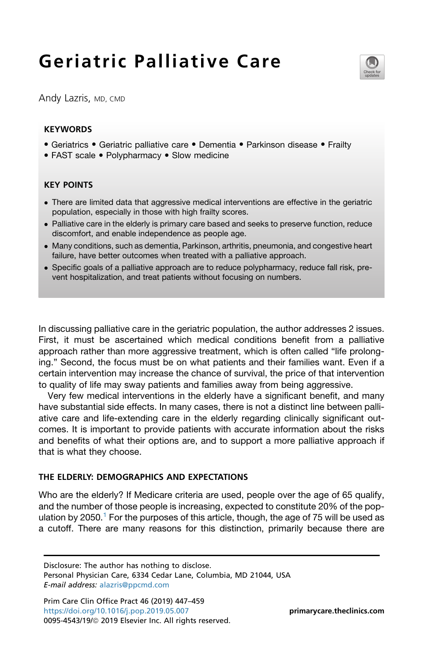# Geriatric Palliative Care



Andy Lazris, MD, CMD

### **KEYWORDS**

- Geriatrics Geriatric palliative care Dementia Parkinson disease Frailty
- FAST scale Polypharmacy Slow medicine

### KEY POINTS

- There are limited data that aggressive medical interventions are effective in the geriatric population, especially in those with high frailty scores.
- Palliative care in the elderly is primary care based and seeks to preserve function, reduce discomfort, and enable independence as people age.
- Many conditions, such as dementia, Parkinson, arthritis, pneumonia, and congestive heart failure, have better outcomes when treated with a palliative approach.
- Specific goals of a palliative approach are to reduce polypharmacy, reduce fall risk, prevent hospitalization, and treat patients without focusing on numbers.

In discussing palliative care in the geriatric population, the author addresses 2 issues. First, it must be ascertained which medical conditions benefit from a palliative approach rather than more aggressive treatment, which is often called "life prolonging." Second, the focus must be on what patients and their families want. Even if a certain intervention may increase the chance of survival, the price of that intervention to quality of life may sway patients and families away from being aggressive.

Very few medical interventions in the elderly have a significant benefit, and many have substantial side effects. In many cases, there is not a distinct line between palliative care and life-extending care in the elderly regarding clinically significant outcomes. It is important to provide patients with accurate information about the risks and benefits of what their options are, and to support a more palliative approach if that is what they choose.

#### THE ELDERLY: DEMOGRAPHICS AND EXPECTATIONS

Who are the elderly? If Medicare criteria are used, people over the age of 65 qualify, and the number of those people is increasing, expected to constitute 20% of the pop-ulation by 2050.<sup>[1](#page-10-0)</sup> For the purposes of this article, though, the age of 75 will be used as a cutoff. There are many reasons for this distinction, primarily because there are

Disclosure: The author has nothing to disclose. Personal Physician Care, 6334 Cedar Lane, Columbia, MD 21044, USA E-mail address: [alazris@ppcmd.com](mailto:alazris@ppcmd.com)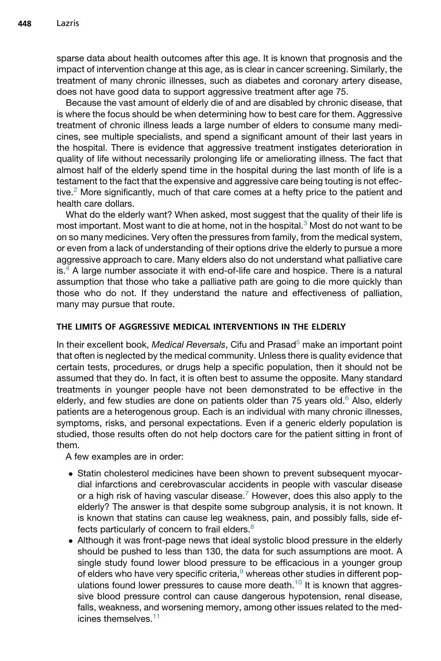sparse data about health outcomes after this age. It is known that prognosis and the impact of intervention change at this age, as is clear in cancer screening. Similarly, the treatment of many chronic illnesses, such as diabetes and coronary artery disease, does not have good data to support aggressive treatment after age 75.

Because the vast amount of elderly die of and are disabled by chronic disease, that is where the focus should be when determining how to best care for them. Aggressive treatment of chronic illness leads a large number of elders to consume many medicines, see multiple specialists, and spend a significant amount of their last years in the hospital. There is evidence that aggressive treatment instigates deterioration in quality of life without necessarily prolonging life or ameliorating illness. The fact that almost half of the elderly spend time in the hospital during the last month of life is a testament to the fact that the expensive and aggressive care being touting is not effective. $2$  More significantly, much of that care comes at a hefty price to the patient and health care dollars.

What do the elderly want? When asked, most suggest that the quality of their life is most important. Most want to die at home, not in the hospital.<sup>[3](#page-10-0)</sup> Most do not want to be on so many medicines. Very often the pressures from family, from the medical system, or even from a lack of understanding of their options drive the elderly to pursue a more aggressive approach to care. Many elders also do not understand what palliative care is.<sup>[4](#page-10-0)</sup> A large number associate it with end-of-life care and hospice. There is a natural assumption that those who take a palliative path are going to die more quickly than those who do not. If they understand the nature and effectiveness of palliation, many may pursue that route.

## THE LIMITS OF AGGRESSIVE MEDICAL INTERVENTIONS IN THE ELDERLY

In their excellent book, *Medical Reversals*, Cifu and Prasad<sup>[5](#page-10-0)</sup> make an important point that often is neglected by the medical community. Unless there is quality evidence that certain tests, procedures, or drugs help a specific population, then it should not be assumed that they do. In fact, it is often best to assume the opposite. Many standard treatments in younger people have not been demonstrated to be effective in the elderly, and few studies are done on patients older than 75 years old. $6$  Also, elderly patients are a heterogenous group. Each is an individual with many chronic illnesses, symptoms, risks, and personal expectations. Even if a generic elderly population is studied, those results often do not help doctors care for the patient sitting in front of them.

A few examples are in order:

- Statin cholesterol medicines have been shown to prevent subsequent myocardial infarctions and cerebrovascular accidents in people with vascular disease or a high risk of having vascular disease.<sup>[7](#page-10-0)</sup> However, does this also apply to the elderly? The answer is that despite some subgroup analysis, it is not known. It is known that statins can cause leg weakness, pain, and possibly falls, side ef-fects particularly of concern to frail elders.<sup>[8](#page-10-0)</sup>
- Although it was front-page news that ideal systolic blood pressure in the elderly should be pushed to less than 130, the data for such assumptions are moot. A single study found lower blood pressure to be efficacious in a younger group of elders who have very specific criteria, $9$  whereas other studies in different pop-ulations found lower pressures to cause more death.<sup>[10](#page-10-0)</sup> It is known that aggressive blood pressure control can cause dangerous hypotension, renal disease, falls, weakness, and worsening memory, among other issues related to the medicines themselves.[11](#page-10-0)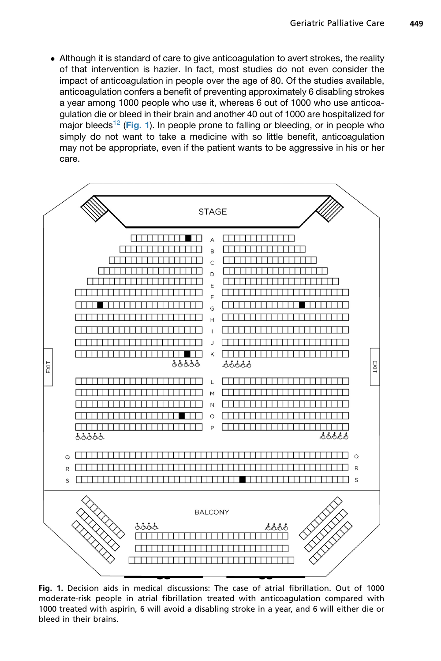Although it is standard of care to give anticoagulation to avert strokes, the reality of that intervention is hazier. In fact, most studies do not even consider the impact of anticoagulation in people over the age of 80. Of the studies available, anticoagulation confers a benefit of preventing approximately 6 disabling strokes a year among 1000 people who use it, whereas 6 out of 1000 who use anticoagulation die or bleed in their brain and another 40 out of 1000 are hospitalized for major bleeds<sup>[12](#page-10-0)</sup> (Fig. 1). In people prone to falling or bleeding, or in people who simply do not want to take a medicine with so little benefit, anticoagulation may not be appropriate, even if the patient wants to be aggressive in his or her care.



Fig. 1. Decision aids in medical discussions: The case of atrial fibrillation. Out of 1000 moderate-risk people in atrial fibrillation treated with anticoagulation compared with 1000 treated with aspirin, 6 will avoid a disabling stroke in a year, and 6 will either die or bleed in their brains.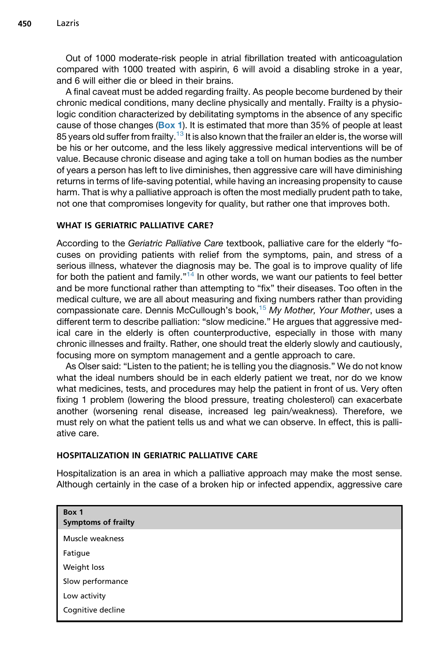Out of 1000 moderate-risk people in atrial fibrillation treated with anticoagulation compared with 1000 treated with aspirin, 6 will avoid a disabling stroke in a year, and 6 will either die or bleed in their brains.

A final caveat must be added regarding frailty. As people become burdened by their chronic medical conditions, many decline physically and mentally. Frailty is a physiologic condition characterized by debilitating symptoms in the absence of any specific cause of those changes ( $Box 1$ ). It is estimated that more than 35% of people at least 85 years old suffer from frailty.<sup>[13](#page-10-0)</sup> It is also known that the frailer an elder is, the worse will be his or her outcome, and the less likely aggressive medical interventions will be of value. Because chronic disease and aging take a toll on human bodies as the number of years a person has left to live diminishes, then aggressive care will have diminishing returns in terms of life-saving potential, while having an increasing propensity to cause harm. That is why a palliative approach is often the most medially prudent path to take, not one that compromises longevity for quality, but rather one that improves both.

### WHAT IS GERIATRIC PALLIATIVE CARE?

According to the *Geriatric Palliative Care* textbook, palliative care for the elderly "focuses on providing patients with relief from the symptoms, pain, and stress of a serious illness, whatever the diagnosis may be. The goal is to improve quality of life for both the patient and family. $n^{14}$  $n^{14}$  $n^{14}$  In other words, we want our patients to feel better and be more functional rather than attempting to "fix" their diseases. Too often in the medical culture, we are all about measuring and fixing numbers rather than providing compassionate care. Dennis McCullough's book,[15](#page-10-0) *My Mother, Your Mother*, uses a different term to describe palliation: "slow medicine." He argues that aggressive medical care in the elderly is often counterproductive, especially in those with many chronic illnesses and frailty. Rather, one should treat the elderly slowly and cautiously, focusing more on symptom management and a gentle approach to care.

As Olser said: "Listen to the patient; he is telling you the diagnosis." We do not know what the ideal numbers should be in each elderly patient we treat, nor do we know what medicines, tests, and procedures may help the patient in front of us. Very often fixing 1 problem (lowering the blood pressure, treating cholesterol) can exacerbate another (worsening renal disease, increased leg pain/weakness). Therefore, we must rely on what the patient tells us and what we can observe. In effect, this is palliative care.

## HOSPITALIZATION IN GERIATRIC PALLIATIVE CARE

Hospitalization is an area in which a palliative approach may make the most sense. Although certainly in the case of a broken hip or infected appendix, aggressive care

| Box 1<br><b>Symptoms of frailty</b> |
|-------------------------------------|
| Muscle weakness                     |
| Fatigue                             |
| Weight loss                         |
| Slow performance                    |
| Low activity                        |
| Cognitive decline                   |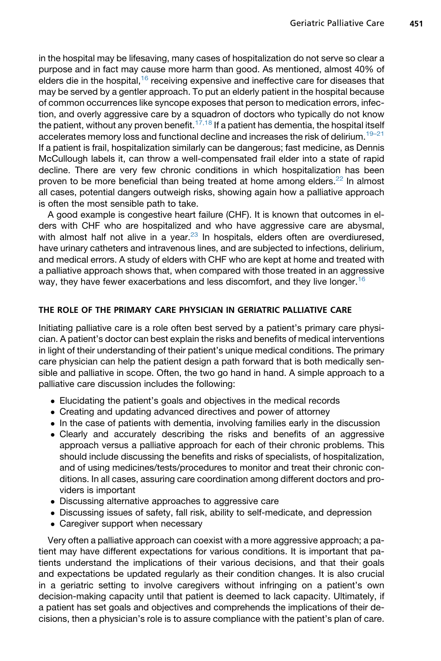in the hospital may be lifesaving, many cases of hospitalization do not serve so clear a purpose and in fact may cause more harm than good. As mentioned, almost 40% of elders die in the hospital,  $16$  receiving expensive and ineffective care for diseases that may be served by a gentler approach. To put an elderly patient in the hospital because of common occurrences like syncope exposes that person to medication errors, infection, and overly aggressive care by a squadron of doctors who typically do not know the patient, without any proven benefit.<sup>[17,18](#page-10-0)</sup> If a patient has dementia, the hospital itself accelerates memory loss and functional decline and increases the risk of delirium.<sup>19-21</sup> If a patient is frail, hospitalization similarly can be dangerous; fast medicine, as Dennis McCullough labels it, can throw a well-compensated frail elder into a state of rapid decline. There are very few chronic conditions in which hospitalization has been proven to be more beneficial than being treated at home among elders.<sup>[22](#page-11-0)</sup> In almost all cases, potential dangers outweigh risks, showing again how a palliative approach is often the most sensible path to take.

A good example is congestive heart failure (CHF). It is known that outcomes in elders with CHF who are hospitalized and who have aggressive care are abysmal, with almost half not alive in a year.<sup>[23](#page-11-0)</sup> In hospitals, elders often are overdiuresed, have urinary catheters and intravenous lines, and are subjected to infections, delirium, and medical errors. A study of elders with CHF who are kept at home and treated with a palliative approach shows that, when compared with those treated in an aggressive way, they have fewer exacerbations and less discomfort, and they live longer.<sup>[16](#page-10-0)</sup>

## THE ROLE OF THE PRIMARY CARE PHYSICIAN IN GERIATRIC PALLIATIVE CARE

Initiating palliative care is a role often best served by a patient's primary care physician. A patient's doctor can best explain the risks and benefits of medical interventions in light of their understanding of their patient's unique medical conditions. The primary care physician can help the patient design a path forward that is both medically sensible and palliative in scope. Often, the two go hand in hand. A simple approach to a palliative care discussion includes the following:

- Elucidating the patient's goals and objectives in the medical records
- Creating and updating advanced directives and power of attorney
- In the case of patients with dementia, involving families early in the discussion
- Clearly and accurately describing the risks and benefits of an aggressive approach versus a palliative approach for each of their chronic problems. This should include discussing the benefits and risks of specialists, of hospitalization, and of using medicines/tests/procedures to monitor and treat their chronic conditions. In all cases, assuring care coordination among different doctors and providers is important
- Discussing alternative approaches to aggressive care
- Discussing issues of safety, fall risk, ability to self-medicate, and depression
- Caregiver support when necessary

Very often a palliative approach can coexist with a more aggressive approach; a patient may have different expectations for various conditions. It is important that patients understand the implications of their various decisions, and that their goals and expectations be updated regularly as their condition changes. It is also crucial in a geriatric setting to involve caregivers without infringing on a patient's own decision-making capacity until that patient is deemed to lack capacity. Ultimately, if a patient has set goals and objectives and comprehends the implications of their decisions, then a physician's role is to assure compliance with the patient's plan of care.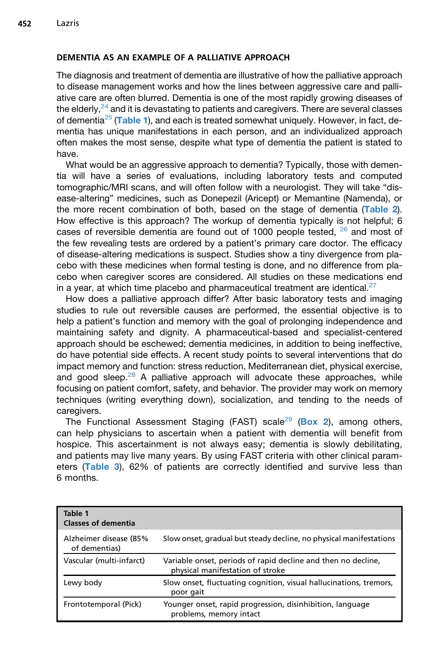### DEMENTIA AS AN EXAMPLE OF A PALLIATIVE APPROACH

The diagnosis and treatment of dementia are illustrative of how the palliative approach to disease management works and how the lines between aggressive care and palliative care are often blurred. Dementia is one of the most rapidly growing diseases of the elderly, $24$  and it is devastating to patients and caregivers. There are several classes of dementia<sup>[25](#page-11-0)</sup> (Table 1), and each is treated somewhat uniquely. However, in fact, dementia has unique manifestations in each person, and an individualized approach often makes the most sense, despite what type of dementia the patient is stated to have.

What would be an aggressive approach to dementia? Typically, those with dementia will have a series of evaluations, including laboratory tests and computed tomographic/MRI scans, and will often follow with a neurologist. They will take "disease-altering" medicines, such as Donepezil (Aricept) or Memantine (Namenda), or the more recent combination of both, based on the stage of dementia ([Table 2](#page-6-0)). How effective is this approach? The workup of dementia typically is not helpful; 6 cases of reversible dementia are found out of 1000 people tested,  $26$  and most of the few revealing tests are ordered by a patient's primary care doctor. The efficacy of disease-altering medications is suspect. Studies show a tiny divergence from placebo with these medicines when formal testing is done, and no difference from placebo when caregiver scores are considered. All studies on these medications end in a year, at which time placebo and pharmaceutical treatment are identical.<sup>[27](#page-11-0)</sup>

How does a palliative approach differ? After basic laboratory tests and imaging studies to rule out reversible causes are performed, the essential objective is to help a patient's function and memory with the goal of prolonging independence and maintaining safety and dignity. A pharmaceutical-based and specialist-centered approach should be eschewed; dementia medicines, in addition to being ineffective, do have potential side effects. A recent study points to several interventions that do impact memory and function: stress reduction, Mediterranean diet, physical exercise, and good sleep.<sup>[28](#page-11-0)</sup> A palliative approach will advocate these approaches, while focusing on patient comfort, safety, and behavior. The provider may work on memory techniques (writing everything down), socialization, and tending to the needs of caregivers.

The Functional Assessment Staging (FAST) scale<sup>[29](#page-11-0)</sup> ([Box 2](#page-6-0)), among others, can help physicians to ascertain when a patient with dementia will benefit from hospice. This ascertainment is not always easy; dementia is slowly debilitating, and patients may live many years. By using FAST criteria with other clinical parameters ([Table 3](#page-7-0)), 62% of patients are correctly identified and survive less than 6 months.

| Table 1<br><b>Classes of dementia</b>   |                                                                                                   |
|-----------------------------------------|---------------------------------------------------------------------------------------------------|
| Alzheimer disease (85%<br>of dementias) | Slow onset, gradual but steady decline, no physical manifestations                                |
| Vascular (multi-infarct)                | Variable onset, periods of rapid decline and then no decline,<br>physical manifestation of stroke |
| Lewy body                               | Slow onset, fluctuating cognition, visual hallucinations, tremors,<br>poor gait                   |
| Frontotemporal (Pick)                   | Younger onset, rapid progression, disinhibition, language<br>problems, memory intact              |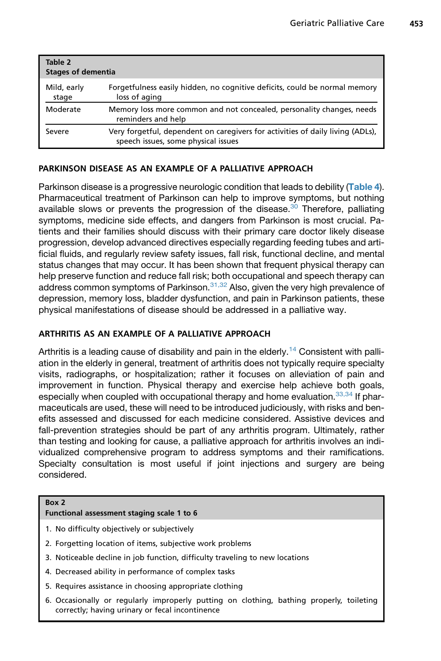<span id="page-6-0"></span>

| Table 2<br><b>Stages of dementia</b> |                                                                                                                       |  |
|--------------------------------------|-----------------------------------------------------------------------------------------------------------------------|--|
| Mild, early<br>stage                 | Forgetfulness easily hidden, no cognitive deficits, could be normal memory<br>loss of aging                           |  |
| Moderate                             | Memory loss more common and not concealed, personality changes, needs<br>reminders and help                           |  |
| Severe                               | Very forgetful, dependent on caregivers for activities of daily living (ADLs),<br>speech issues, some physical issues |  |

## PARKINSON DISEASE AS AN EXAMPLE OF A PALLIATIVE APPROACH

Parkinson disease is a progressive neurologic condition that leads to debility ([Table 4](#page-7-0)). Pharmaceutical treatment of Parkinson can help to improve symptoms, but nothing available slows or prevents the progression of the disease.<sup>[30](#page-11-0)</sup> Therefore, palliating symptoms, medicine side effects, and dangers from Parkinson is most crucial. Patients and their families should discuss with their primary care doctor likely disease progression, develop advanced directives especially regarding feeding tubes and artificial fluids, and regularly review safety issues, fall risk, functional decline, and mental status changes that may occur. It has been shown that frequent physical therapy can help preserve function and reduce fall risk; both occupational and speech therapy can address common symptoms of Parkinson.<sup>[31,32](#page-11-0)</sup> Also, given the very high prevalence of depression, memory loss, bladder dysfunction, and pain in Parkinson patients, these physical manifestations of disease should be addressed in a palliative way.

## ARTHRITIS AS AN EXAMPLE OF A PALLIATIVE APPROACH

Arthritis is a leading cause of disability and pain in the elderly.<sup>[14](#page-10-0)</sup> Consistent with palliation in the elderly in general, treatment of arthritis does not typically require specialty visits, radiographs, or hospitalization; rather it focuses on alleviation of pain and improvement in function. Physical therapy and exercise help achieve both goals, especially when coupled with occupational therapy and home evaluation. $33,34$  If pharmaceuticals are used, these will need to be introduced judiciously, with risks and benefits assessed and discussed for each medicine considered. Assistive devices and fall-prevention strategies should be part of any arthritis program. Ultimately, rather than testing and looking for cause, a palliative approach for arthritis involves an individualized comprehensive program to address symptoms and their ramifications. Specialty consultation is most useful if joint injections and surgery are being considered.

#### Box 2

# Functional assessment staging scale 1 to 6

- 1. No difficulty objectively or subjectively
- 2. Forgetting location of items, subjective work problems
- 3. Noticeable decline in job function, difficulty traveling to new locations
- 4. Decreased ability in performance of complex tasks
- 5. Requires assistance in choosing appropriate clothing
- 6. Occasionally or regularly improperly putting on clothing, bathing properly, toileting correctly; having urinary or fecal incontinence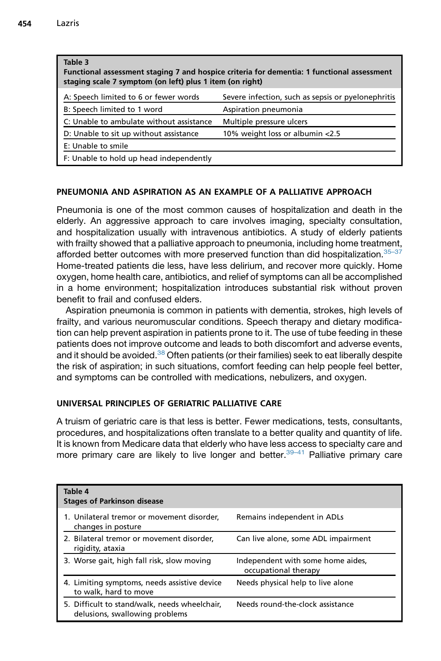<span id="page-7-0"></span>

| Table 3<br>Functional assessment staging 7 and hospice criteria for dementia: 1 functional assessment<br>staging scale 7 symptom (on left) plus 1 item (on right) |                                                    |  |  |
|-------------------------------------------------------------------------------------------------------------------------------------------------------------------|----------------------------------------------------|--|--|
| A: Speech limited to 6 or fewer words                                                                                                                             | Severe infection, such as sepsis or pyelonephritis |  |  |
| B: Speech limited to 1 word                                                                                                                                       | Aspiration pneumonia                               |  |  |
| C: Unable to ambulate without assistance                                                                                                                          | Multiple pressure ulcers                           |  |  |
| D: Unable to sit up without assistance                                                                                                                            | 10% weight loss or albumin <2.5                    |  |  |
| E: Unable to smile                                                                                                                                                |                                                    |  |  |
| F: Unable to hold up head independently                                                                                                                           |                                                    |  |  |

### PNEUMONIA AND ASPIRATION AS AN EXAMPLE OF A PALLIATIVE APPROACH

Pneumonia is one of the most common causes of hospitalization and death in the elderly. An aggressive approach to care involves imaging, specialty consultation, and hospitalization usually with intravenous antibiotics. A study of elderly patients with frailty showed that a palliative approach to pneumonia, including home treatment, afforded better outcomes with more preserved function than did hospitalization.<sup>[35–37](#page-11-0)</sup> Home-treated patients die less, have less delirium, and recover more quickly. Home oxygen, home health care, antibiotics, and relief of symptoms can all be accomplished in a home environment; hospitalization introduces substantial risk without proven benefit to frail and confused elders.

Aspiration pneumonia is common in patients with dementia, strokes, high levels of frailty, and various neuromuscular conditions. Speech therapy and dietary modification can help prevent aspiration in patients prone to it. The use of tube feeding in these patients does not improve outcome and leads to both discomfort and adverse events, and it should be avoided.<sup>[38](#page-11-0)</sup> Often patients (or their families) seek to eat liberally despite the risk of aspiration; in such situations, comfort feeding can help people feel better, and symptoms can be controlled with medications, nebulizers, and oxygen.

### UNIVERSAL PRINCIPLES OF GERIATRIC PALLIATIVE CARE

A truism of geriatric care is that less is better. Fewer medications, tests, consultants, procedures, and hospitalizations often translate to a better quality and quantity of life. It is known from Medicare data that elderly who have less access to specialty care and more primary care are likely to live longer and better. 39-41 Palliative primary care

| Table 4<br><b>Stages of Parkinson disease</b>                                   |                                                           |
|---------------------------------------------------------------------------------|-----------------------------------------------------------|
| 1. Unilateral tremor or movement disorder,<br>changes in posture                | Remains independent in ADLs                               |
| 2. Bilateral tremor or movement disorder,<br>rigidity, ataxia                   | Can live alone, some ADL impairment                       |
| 3. Worse gait, high fall risk, slow moving                                      | Independent with some home aides,<br>occupational therapy |
| 4. Limiting symptoms, needs assistive device<br>to walk, hard to move           | Needs physical help to live alone                         |
| 5. Difficult to stand/walk, needs wheelchair,<br>delusions, swallowing problems | Needs round-the-clock assistance                          |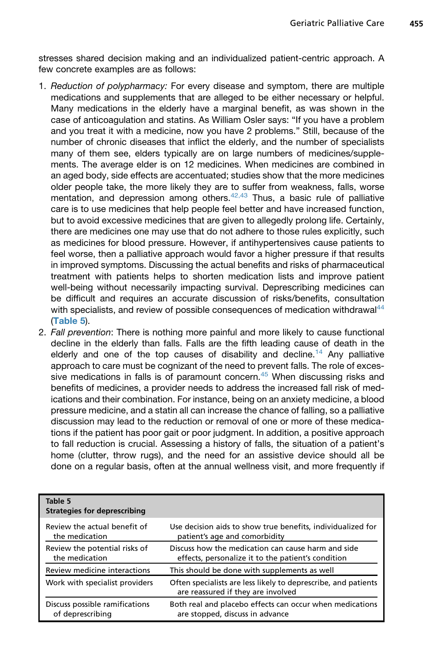stresses shared decision making and an individualized patient-centric approach. A few concrete examples are as follows:

- 1. *Reduction of polypharmacy:* For every disease and symptom, there are multiple medications and supplements that are alleged to be either necessary or helpful. Many medications in the elderly have a marginal benefit, as was shown in the case of anticoagulation and statins. As William Osler says: "If you have a problem and you treat it with a medicine, now you have 2 problems." Still, because of the number of chronic diseases that inflict the elderly, and the number of specialists many of them see, elders typically are on large numbers of medicines/supplements. The average elder is on 12 medicines. When medicines are combined in an aged body, side effects are accentuated; studies show that the more medicines older people take, the more likely they are to suffer from weakness, falls, worse mentation, and depression among others. $42,43$  Thus, a basic rule of palliative care is to use medicines that help people feel better and have increased function, but to avoid excessive medicines that are given to allegedly prolong life. Certainly, there are medicines one may use that do not adhere to those rules explicitly, such as medicines for blood pressure. However, if antihypertensives cause patients to feel worse, then a palliative approach would favor a higher pressure if that results in improved symptoms. Discussing the actual benefits and risks of pharmaceutical treatment with patients helps to shorten medication lists and improve patient well-being without necessarily impacting survival. Deprescribing medicines can be difficult and requires an accurate discussion of risks/benefits, consultation with specialists, and review of possible consequences of medication withdrawal<sup>[44](#page-12-0)</sup> (Table 5).
- 2. *Fall prevention*: There is nothing more painful and more likely to cause functional decline in the elderly than falls. Falls are the fifth leading cause of death in the elderly and one of the top causes of disability and decline.<sup>[14](#page-10-0)</sup> Any palliative approach to care must be cognizant of the need to prevent falls. The role of exces-sive medications in falls is of paramount concern.<sup>[45](#page-12-0)</sup> When discussing risks and benefits of medicines, a provider needs to address the increased fall risk of medications and their combination. For instance, being on an anxiety medicine, a blood pressure medicine, and a statin all can increase the chance of falling, so a palliative discussion may lead to the reduction or removal of one or more of these medications if the patient has poor gait or poor judgment. In addition, a positive approach to fall reduction is crucial. Assessing a history of falls, the situation of a patient's home (clutter, throw rugs), and the need for an assistive device should all be done on a regular basis, often at the annual wellness visit, and more frequently if

| Table 5<br><b>Strategies for deprescribing</b> |                                                                                                      |
|------------------------------------------------|------------------------------------------------------------------------------------------------------|
| Review the actual benefit of                   | Use decision aids to show true benefits, individualized for                                          |
| the medication                                 | patient's age and comorbidity                                                                        |
| Review the potential risks of                  | Discuss how the medication can cause harm and side                                                   |
| the medication                                 | effects, personalize it to the patient's condition                                                   |
| Review medicine interactions                   | This should be done with supplements as well                                                         |
| Work with specialist providers                 | Often specialists are less likely to deprescribe, and patients<br>are reassured if they are involved |
| Discuss possible ramifications                 | Both real and placebo effects can occur when medications                                             |
| of deprescribing                               | are stopped, discuss in advance                                                                      |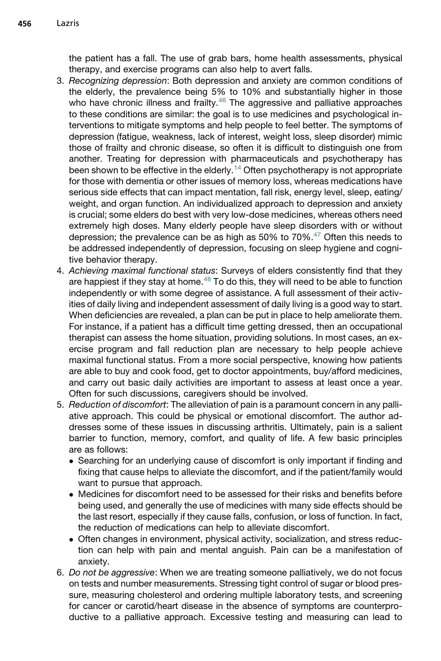the patient has a fall. The use of grab bars, home health assessments, physical therapy, and exercise programs can also help to avert falls.

- 3. *Recognizing depression*: Both depression and anxiety are common conditions of the elderly, the prevalence being 5% to 10% and substantially higher in those who have chronic illness and frailty.<sup>[46](#page-12-0)</sup> The aggressive and palliative approaches to these conditions are similar: the goal is to use medicines and psychological interventions to mitigate symptoms and help people to feel better. The symptoms of depression (fatigue, weakness, lack of interest, weight loss, sleep disorder) mimic those of frailty and chronic disease, so often it is difficult to distinguish one from another. Treating for depression with pharmaceuticals and psychotherapy has been shown to be effective in the elderly.<sup>[14](#page-10-0)</sup> Often psychotherapy is not appropriate for those with dementia or other issues of memory loss, whereas medications have serious side effects that can impact mentation, fall risk, energy level, sleep, eating/ weight, and organ function. An individualized approach to depression and anxiety is crucial; some elders do best with very low-dose medicines, whereas others need extremely high doses. Many elderly people have sleep disorders with or without depression; the prevalence can be as high as  $50\%$  to  $70\%$ .<sup>47</sup> Often this needs to be addressed independently of depression, focusing on sleep hygiene and cognitive behavior therapy.
- 4. *Achieving maximal functional status*: Surveys of elders consistently find that they are happiest if they stay at home.<sup>[48](#page-12-0)</sup> To do this, they will need to be able to function independently or with some degree of assistance. A full assessment of their activities of daily living and independent assessment of daily living is a good way to start. When deficiencies are revealed, a plan can be put in place to help ameliorate them. For instance, if a patient has a difficult time getting dressed, then an occupational therapist can assess the home situation, providing solutions. In most cases, an exercise program and fall reduction plan are necessary to help people achieve maximal functional status. From a more social perspective, knowing how patients are able to buy and cook food, get to doctor appointments, buy/afford medicines, and carry out basic daily activities are important to assess at least once a year. Often for such discussions, caregivers should be involved.
- 5. *Reduction of discomfort*: The alleviation of pain is a paramount concern in any palliative approach. This could be physical or emotional discomfort. The author addresses some of these issues in discussing arthritis. Ultimately, pain is a salient barrier to function, memory, comfort, and quality of life. A few basic principles are as follows:
	- Searching for an underlying cause of discomfort is only important if finding and fixing that cause helps to alleviate the discomfort, and if the patient/family would want to pursue that approach.
	- Medicines for discomfort need to be assessed for their risks and benefits before being used, and generally the use of medicines with many side effects should be the last resort, especially if they cause falls, confusion, or loss of function. In fact, the reduction of medications can help to alleviate discomfort.
	- Often changes in environment, physical activity, socialization, and stress reduction can help with pain and mental anguish. Pain can be a manifestation of anxiety.
- 6. *Do not be aggressive*: When we are treating someone palliatively, we do not focus on tests and number measurements. Stressing tight control of sugar or blood pressure, measuring cholesterol and ordering multiple laboratory tests, and screening for cancer or carotid/heart disease in the absence of symptoms are counterproductive to a palliative approach. Excessive testing and measuring can lead to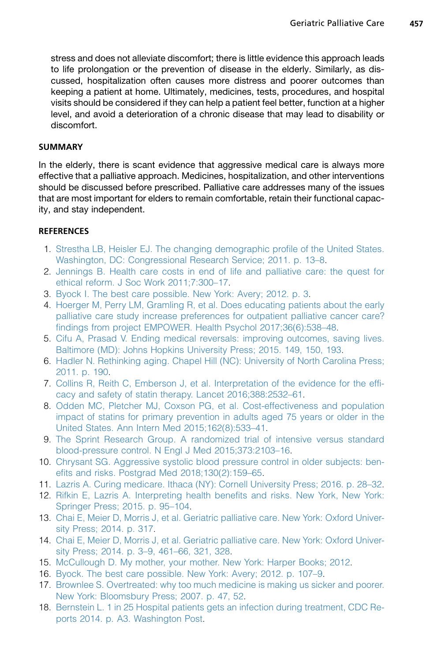<span id="page-10-0"></span>stress and does not alleviate discomfort; there is little evidence this approach leads to life prolongation or the prevention of disease in the elderly. Similarly, as discussed, hospitalization often causes more distress and poorer outcomes than keeping a patient at home. Ultimately, medicines, tests, procedures, and hospital visits should be considered if they can help a patient feel better, function at a higher level, and avoid a deterioration of a chronic disease that may lead to disability or discomfort.

## SUMMARY

In the elderly, there is scant evidence that aggressive medical care is always more effective that a palliative approach. Medicines, hospitalization, and other interventions should be discussed before prescribed. Palliative care addresses many of the issues that are most important for elders to remain comfortable, retain their functional capacity, and stay independent.

## **REFERENCES**

- 1. [Strestha LB, Heisler EJ. The changing demographic profile of the United States.](http://refhub.elsevier.com/S0095-4543(19)30035-1/sref1) [Washington, DC: Congressional Research Service; 2011. p. 13–8.](http://refhub.elsevier.com/S0095-4543(19)30035-1/sref1)
- 2. [Jennings B. Health care costs in end of life and palliative care: the quest for](http://refhub.elsevier.com/S0095-4543(19)30035-1/sref2) [ethical reform. J Soc Work 2011;7:300–17.](http://refhub.elsevier.com/S0095-4543(19)30035-1/sref2)
- 3. [Byock I. The best care possible. New York: Avery; 2012. p. 3](http://refhub.elsevier.com/S0095-4543(19)30035-1/sref3).
- 4. [Hoerger M, Perry LM, Gramling R, et al. Does educating patients about the early](http://refhub.elsevier.com/S0095-4543(19)30035-1/sref4) [palliative care study increase preferences for outpatient palliative cancer care?](http://refhub.elsevier.com/S0095-4543(19)30035-1/sref4) [findings from project EMPOWER. Health Psychol 2017;36\(6\):538–48](http://refhub.elsevier.com/S0095-4543(19)30035-1/sref4).
- 5. [Cifu A, Prasad V. Ending medical reversals: improving outcomes, saving lives.](http://refhub.elsevier.com/S0095-4543(19)30035-1/sref5) [Baltimore \(MD\): Johns Hopkins University Press; 2015. 149, 150, 193](http://refhub.elsevier.com/S0095-4543(19)30035-1/sref5).
- 6. [Hadler N. Rethinking aging. Chapel Hill \(NC\): University of North Carolina Press;](http://refhub.elsevier.com/S0095-4543(19)30035-1/sref6) [2011. p. 190.](http://refhub.elsevier.com/S0095-4543(19)30035-1/sref6)
- 7. [Collins R, Reith C, Emberson J, et al. Interpretation of the evidence for the effi](http://refhub.elsevier.com/S0095-4543(19)30035-1/sref7)[cacy and safety of statin therapy. Lancet 2016;388:2532–61](http://refhub.elsevier.com/S0095-4543(19)30035-1/sref7).
- 8. [Odden MC, Pletcher MJ, Coxson PG, et al. Cost-effectiveness and population](http://refhub.elsevier.com/S0095-4543(19)30035-1/sref8) [impact of statins for primary prevention in adults aged 75 years or older in the](http://refhub.elsevier.com/S0095-4543(19)30035-1/sref8) [United States. Ann Intern Med 2015;162\(8\):533–41](http://refhub.elsevier.com/S0095-4543(19)30035-1/sref8).
- 9. [The Sprint Research Group. A randomized trial of intensive versus standard](http://refhub.elsevier.com/S0095-4543(19)30035-1/sref9) [blood-pressure control. N Engl J Med 2015;373:2103–16](http://refhub.elsevier.com/S0095-4543(19)30035-1/sref9).
- 10. [Chrysant SG. Aggressive systolic blood pressure control in older subjects: ben](http://refhub.elsevier.com/S0095-4543(19)30035-1/sref10)[efits and risks. Postgrad Med 2018;130\(2\):159–65.](http://refhub.elsevier.com/S0095-4543(19)30035-1/sref10)
- 11. [Lazris A. Curing medicare. Ithaca \(NY\): Cornell University Press; 2016. p. 28–32](http://refhub.elsevier.com/S0095-4543(19)30035-1/sref11).
- 12. [Rifkin E, Lazris A. Interpreting health benefits and risks. New York, New York:](http://refhub.elsevier.com/S0095-4543(19)30035-1/sref12) [Springer Press; 2015. p. 95–104](http://refhub.elsevier.com/S0095-4543(19)30035-1/sref12).
- 13. [Chai E, Meier D, Morris J, et al. Geriatric palliative care. New York: Oxford Univer](http://refhub.elsevier.com/S0095-4543(19)30035-1/sref13)[sity Press; 2014. p. 317](http://refhub.elsevier.com/S0095-4543(19)30035-1/sref13).
- 14. [Chai E, Meier D, Morris J, et al. Geriatric palliative care. New York: Oxford Univer](http://refhub.elsevier.com/S0095-4543(19)30035-1/sref14)[sity Press; 2014. p. 3–9, 461–66, 321, 328](http://refhub.elsevier.com/S0095-4543(19)30035-1/sref14).
- 15. [McCullough D. My mother, your mother. New York: Harper Books; 2012.](http://refhub.elsevier.com/S0095-4543(19)30035-1/sref15)
- 16. [Byock. The best care possible. New York: Avery; 2012. p. 107–9.](http://refhub.elsevier.com/S0095-4543(19)30035-1/sref16)
- 17. [Brownlee S. Overtreated: why too much medicine is making us sicker and poorer.](http://refhub.elsevier.com/S0095-4543(19)30035-1/sref17) [New York: Bloomsbury Press; 2007. p. 47, 52.](http://refhub.elsevier.com/S0095-4543(19)30035-1/sref17)
- 18. [Bernstein L. 1 in 25 Hospital patients gets an infection during treatment, CDC Re](http://refhub.elsevier.com/S0095-4543(19)30035-1/sref18)[ports 2014. p. A3. Washington Post](http://refhub.elsevier.com/S0095-4543(19)30035-1/sref18).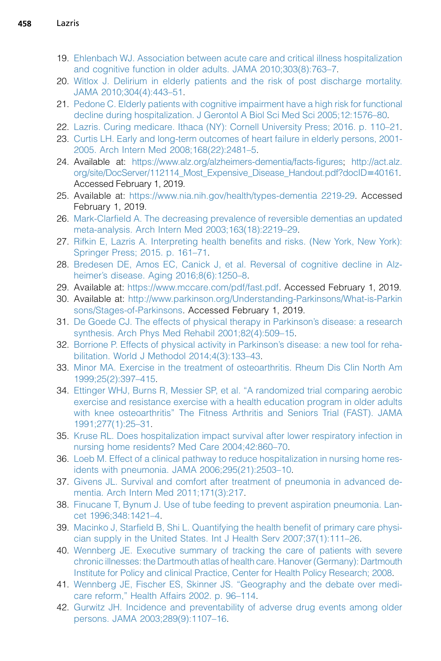- <span id="page-11-0"></span>19. [Ehlenbach WJ. Association between acute care and critical illness hospitalization](http://refhub.elsevier.com/S0095-4543(19)30035-1/sref19) [and cognitive function in older adults. JAMA 2010;303\(8\):763–7.](http://refhub.elsevier.com/S0095-4543(19)30035-1/sref19)
- 20. [Witlox J. Delirium in elderly patients and the risk of post discharge mortality.](http://refhub.elsevier.com/S0095-4543(19)30035-1/sref20) [JAMA 2010;304\(4\):443–51](http://refhub.elsevier.com/S0095-4543(19)30035-1/sref20).
- 21. [Pedone C. Elderly patients with cognitive impairment have a high risk for functional](http://refhub.elsevier.com/S0095-4543(19)30035-1/sref21) [decline during hospitalization. J Gerontol A Biol Sci Med Sci 2005;12:1576–80](http://refhub.elsevier.com/S0095-4543(19)30035-1/sref21).
- 22. [Lazris. Curing medicare. Ithaca \(NY\): Cornell University Press; 2016. p. 110–21.](http://refhub.elsevier.com/S0095-4543(19)30035-1/sref22)
- 23. [Curtis LH. Early and long-term outcomes of heart failure in elderly persons, 2001-](http://refhub.elsevier.com/S0095-4543(19)30035-1/sref23) [2005. Arch Intern Med 2008;168\(22\):2481–5](http://refhub.elsevier.com/S0095-4543(19)30035-1/sref23).
- 24. Available at: [https://www.alz.org/alzheimers-dementia/facts-figures;](https://www.alz.org/alzheimers-dementia/facts-figures) [http://act.alz.](http://act.alz.org/site/DocServer/112114_Most_Expensive_Disease_Handout.pdf?docID=40161) [org/site/DocServer/112114\\_Most\\_Expensive\\_Disease\\_Handout.pdf?docID](http://act.alz.org/site/DocServer/112114_Most_Expensive_Disease_Handout.pdf?docID=40161)=40161. Accessed February 1, 2019.
- 25. Available at: [https://www.nia.nih.gov/health/types-dementia 2219-29](https://www.nia.nih.gov/health/types-dementia%202219-29). Accessed February 1, 2019.
- 26. [Mark-Clarfield A. The decreasing prevalence of reversible dementias an updated](http://refhub.elsevier.com/S0095-4543(19)30035-1/sref26) [meta-analysis. Arch Intern Med 2003;163\(18\):2219–29](http://refhub.elsevier.com/S0095-4543(19)30035-1/sref26).
- 27. [Rifkin E, Lazris A. Interpreting health benefits and risks. \(New York, New York\):](http://refhub.elsevier.com/S0095-4543(19)30035-1/sref27) [Springer Press; 2015. p. 161–71](http://refhub.elsevier.com/S0095-4543(19)30035-1/sref27).
- 28. [Bredesen DE, Amos EC, Canick J, et al. Reversal of cognitive decline in Alz](http://refhub.elsevier.com/S0095-4543(19)30035-1/sref28)[heimer's disease. Aging 2016;8\(6\):1250–8](http://refhub.elsevier.com/S0095-4543(19)30035-1/sref28).
- 29. Available at: <https://www.mccare.com/pdf/fast.pdf>. Accessed February 1, 2019.
- 30. Available at: [http://www.parkinson.org/Understanding-Parkinsons/What-is-Parkin](http://www.parkinson.org/Understanding-Parkinsons/What-is-Parkinsons/Stages-of-Parkinsons) [sons/Stages-of-Parkinsons.](http://www.parkinson.org/Understanding-Parkinsons/What-is-Parkinsons/Stages-of-Parkinsons) Accessed February 1, 2019.
- 31. [De Goede CJ. The effects of physical therapy in Parkinson's disease: a research](http://refhub.elsevier.com/S0095-4543(19)30035-1/sref31) [synthesis. Arch Phys Med Rehabil 2001;82\(4\):509–15](http://refhub.elsevier.com/S0095-4543(19)30035-1/sref31).
- 32. [Borrione P. Effects of physical activity in Parkinson's disease: a new tool for reha](http://refhub.elsevier.com/S0095-4543(19)30035-1/sref32)[bilitation. World J Methodol 2014;4\(3\):133–43](http://refhub.elsevier.com/S0095-4543(19)30035-1/sref32).
- 33. [Minor MA. Exercise in the treatment of osteoarthritis. Rheum Dis Clin North Am](http://refhub.elsevier.com/S0095-4543(19)30035-1/sref33) [1999;25\(2\):397–415](http://refhub.elsevier.com/S0095-4543(19)30035-1/sref33).
- 34. [Ettinger WHJ, Burns R, Messier SP, et al. "A randomized trial comparing aerobic](http://refhub.elsevier.com/S0095-4543(19)30035-1/sref34) [exercise and resistance exercise with a health education program in older adults](http://refhub.elsevier.com/S0095-4543(19)30035-1/sref34) [with knee osteoarthritis" The Fitness Arthritis and Seniors Trial \(FAST\). JAMA](http://refhub.elsevier.com/S0095-4543(19)30035-1/sref34) [1991;277\(1\):25–31](http://refhub.elsevier.com/S0095-4543(19)30035-1/sref34).
- 35. [Kruse RL. Does hospitalization impact survival after lower respiratory infection in](http://refhub.elsevier.com/S0095-4543(19)30035-1/sref35) [nursing home residents? Med Care 2004;42:860–70.](http://refhub.elsevier.com/S0095-4543(19)30035-1/sref35)
- 36. [Loeb M. Effect of a clinical pathway to reduce hospitalization in nursing home res](http://refhub.elsevier.com/S0095-4543(19)30035-1/sref36)[idents with pneumonia. JAMA 2006;295\(21\):2503–10](http://refhub.elsevier.com/S0095-4543(19)30035-1/sref36).
- 37. [Givens JL. Survival and comfort after treatment of pneumonia in advanced de](http://refhub.elsevier.com/S0095-4543(19)30035-1/sref37)[mentia. Arch Intern Med 2011;171\(3\):217.](http://refhub.elsevier.com/S0095-4543(19)30035-1/sref37)
- 38. [Finucane T, Bynum J. Use of tube feeding to prevent aspiration pneumonia. Lan](http://refhub.elsevier.com/S0095-4543(19)30035-1/sref38)[cet 1996;348:1421–4.](http://refhub.elsevier.com/S0095-4543(19)30035-1/sref38)
- 39. [Macinko J, Starfield B, Shi L. Quantifying the health benefit of primary care physi](http://refhub.elsevier.com/S0095-4543(19)30035-1/sref39)[cian supply in the United States. Int J Health Serv 2007;37\(1\):111–26](http://refhub.elsevier.com/S0095-4543(19)30035-1/sref39).
- 40. [Wennberg JE. Executive summary of tracking the care of patients with severe](http://refhub.elsevier.com/S0095-4543(19)30035-1/sref40) [chronic illnesses: the Dartmouth atlas of health care. Hanover \(Germany\): Dartmouth](http://refhub.elsevier.com/S0095-4543(19)30035-1/sref40) [Institute for Policy and clinical Practice, Center for Health Policy Research; 2008.](http://refhub.elsevier.com/S0095-4543(19)30035-1/sref40)
- 41. [Wennberg JE, Fischer ES, Skinner JS. "Geography and the debate over medi](http://refhub.elsevier.com/S0095-4543(19)30035-1/sref41)[care reform," Health Affairs 2002. p. 96–114.](http://refhub.elsevier.com/S0095-4543(19)30035-1/sref41)
- 42. [Gurwitz JH. Incidence and preventability of adverse drug events among older](http://refhub.elsevier.com/S0095-4543(19)30035-1/sref42) [persons. JAMA 2003;289\(9\):1107–16.](http://refhub.elsevier.com/S0095-4543(19)30035-1/sref42)